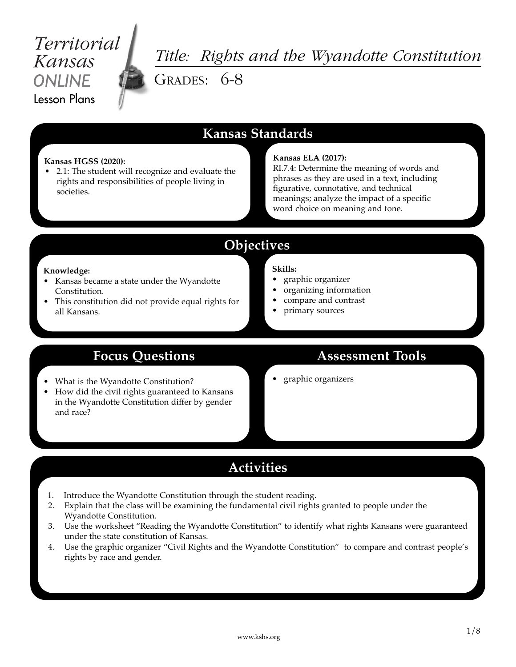# Territorial Kansas **ONI INF** Lesson Plans

# *Title: Rights and the Wyandotte Constitution* GRADES: 6-8

## **Kansas Standards**

#### **Kansas HGSS (2020):**

• 2.1: The student will recognize and evaluate the rights and responsibilities of people living in societies.

#### **Kansas ELA (2017):**

RI.7.4: Determine the meaning of words and phrases as they are used in a text, including figurative, connotative, and technical meanings; analyze the impact of a specific word choice on meaning and tone.

## **Objectives**

#### **Knowledge:**

- Kansas became a state under the Wyandotte Constitution.
- This constitution did not provide equal rights for all Kansans.

#### **Skills:**

- graphic organizer
- organizing information
- compare and contrast
- primary sources

## **Focus Questions**

- What is the Wyandotte Constitution?
- How did the civil rights guaranteed to Kansans in the Wyandotte Constitution differ by gender and race?

## **Assessment Tools**

• graphic organizers

## **Activities**

- 1. Introduce the Wyandotte Constitution through the student reading.
- 2. Explain that the class will be examining the fundamental civil rights granted to people under the Wyandotte Constitution.
- 3. Use the worksheet "Reading the Wyandotte Constitution" to identify what rights Kansans were guaranteed under the state constitution of Kansas.
- 4. Use the graphic organizer "Civil Rights and the Wyandotte Constitution" to compare and contrast people's rights by race and gender.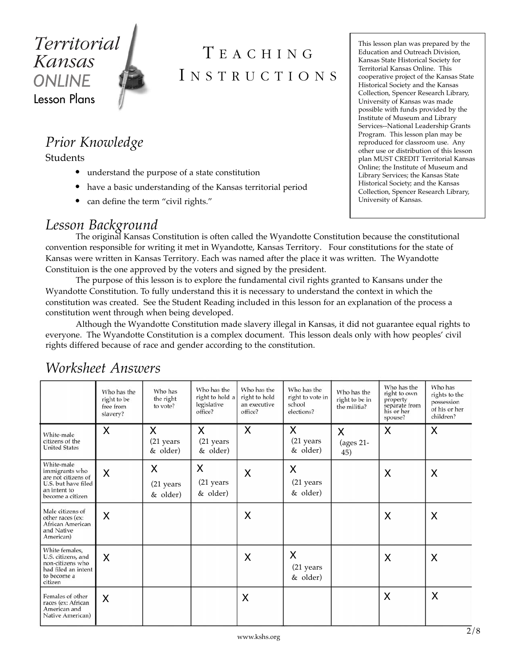

# T EACHING I NSTRUCTIONS

*Prior Knowledge*

Students

- understand the purpose of a state constitution
- have a basic understanding of the Kansas territorial period
- can define the term "civil rights."

## *Lesson Background*

The original Kansas Constitution is often called the Wyandotte Constitution because the constitutional convention responsible for writing it met in Wyandotte, Kansas Territory. Four constitutions for the state of Kansas were written in Kansas Territory. Each was named after the place it was written. The Wyandotte Constituion is the one approved by the voters and signed by the president.

The purpose of this lesson is to explore the fundamental civil rights granted to Kansans under the Wyandotte Constitution. To fully understand this it is necessary to understand the context in which the constitution was created. See the Student Reading included in this lesson for an explanation of the process a constitution went through when being developed.

Although the Wyandotte Constitution made slavery illegal in Kansas, it did not guarantee equal rights to everyone. The Wyandotte Constitution is a complex document. This lesson deals only with how peoples' civil rights differed because of race and gender according to the constitution.

|                                                                                                                | Who has the<br>right to be<br>free from<br>slavery? | Who has<br>the right<br>to vote? | Who has the<br>right to hold a<br>legislative<br>office? | Who has the<br>right to hold<br>an executive<br>office? | Who has the<br>right to vote in<br>school<br>elections? | Who has the<br>right to be in<br>the militia? | Who has the<br>right to own<br>property<br>separate from<br>his or her<br>spouse? | Who has<br>rights to the<br>possession<br>of his or her<br>children? |
|----------------------------------------------------------------------------------------------------------------|-----------------------------------------------------|----------------------------------|----------------------------------------------------------|---------------------------------------------------------|---------------------------------------------------------|-----------------------------------------------|-----------------------------------------------------------------------------------|----------------------------------------------------------------------|
| White-male<br>citizens of the<br><b>United States</b>                                                          | X                                                   | X<br>(21 years<br>& older)       | $\mathsf{X}$<br>(21 years<br>& older)                    | X                                                       | X<br>(21 years<br>& older)                              | X<br>(ages 21-<br>45)                         | X                                                                                 | X                                                                    |
| White-male<br>immigrants who<br>are not citizens of<br>U.S. but have filed<br>an intent to<br>become a citizen | X                                                   | X<br>(21 years<br>& older)       | X<br>(21 years<br>& older)                               | X                                                       | X<br>(21 years<br>& older)                              |                                               | X                                                                                 | X                                                                    |
| Male citizens of<br>other races (ex:<br>African American<br>and Native<br>American)                            | X                                                   |                                  |                                                          | X                                                       |                                                         |                                               | X                                                                                 | X                                                                    |
| White females,<br>U.S. citizens, and<br>non-citizens who<br>had filed an intent<br>to become a<br>citizen      | X                                                   |                                  |                                                          | X                                                       | X<br>(21 years<br>& older)                              |                                               | X                                                                                 | X                                                                    |
| Females of other<br>races (ex: African<br>American and<br>Native American)                                     | X                                                   |                                  |                                                          | X                                                       |                                                         |                                               | X                                                                                 | X                                                                    |

## *Worksheet Answers*

This lesson plan was prepared by the Education and Outreach Division, Kansas State Historical Society for Territorial Kansas Online. This cooperative project of the Kansas State Historical Society and the Kansas Collection, Spencer Research Library, University of Kansas was made possible with funds provided by the Institute of Museum and Library Services--National Leadership Grants Program. This lesson plan may be reproduced for classroom use. Any other use or distribution of this lesson plan MUST CREDIT Territorial Kansas Online; the Institute of Museum and Library Services; the Kansas State Historical Society; and the Kansas Collection, Spencer Research Library, University of Kansas.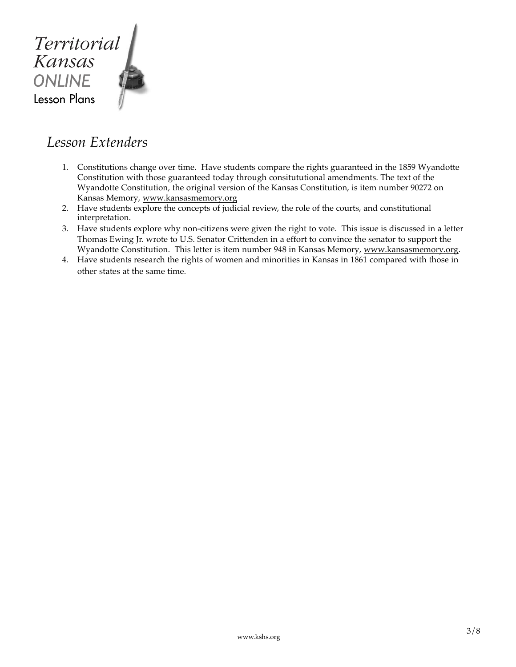

## *Lesson Extenders*

- 1. Constitutions change over time. Have students compare the rights guaranteed in the 1859 Wyandotte Constitution with those guaranteed today through consitututional amendments. The text of the Wyandotte Constitution, the original version of the Kansas Constitution, is item number 90272 on Kansas Memory, www.kansasmemory.org
- 2. Have students explore the concepts of judicial review, the role of the courts, and constitutional interpretation.
- 3. Have students explore why non-citizens were given the right to vote. This issue is discussed in a letter Thomas Ewing Jr. wrote to U.S. Senator Crittenden in a effort to convince the senator to support the Wyandotte Constitution. This letter is item number 948 in Kansas Memory, www.kansasmemory.org.
- 4. Have students research the rights of women and minorities in Kansas in 1861 compared with those in other states at the same time.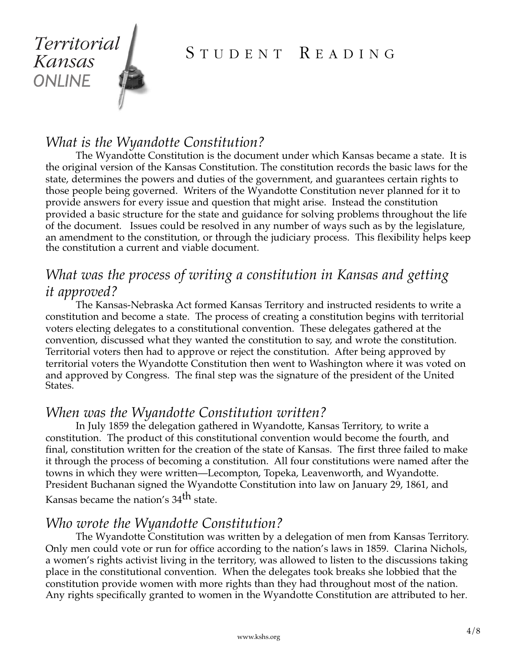

## STUDENT READING

## *What is the Wyandotte Constitution?*

The Wyandotte Constitution is the document under which Kansas became a state. It is the original version of the Kansas Constitution. The constitution records the basic laws for the state, determines the powers and duties of the government, and guarantees certain rights to those people being governed. Writers of the Wyandotte Constitution never planned for it to provide answers for every issue and question that might arise. Instead the constitution provided a basic structure for the state and guidance for solving problems throughout the life of the document. Issues could be resolved in any number of ways such as by the legislature, an amendment to the constitution, or through the judiciary process. This flexibility helps keep the constitution a current and viable document.

## *What was the process of writing a constitution in Kansas and getting it approved?*

The Kansas-Nebraska Act formed Kansas Territory and instructed residents to write a constitution and become a state. The process of creating a constitution begins with territorial voters electing delegates to a constitutional convention. These delegates gathered at the convention, discussed what they wanted the constitution to say, and wrote the constitution. Territorial voters then had to approve or reject the constitution. After being approved by territorial voters the Wyandotte Constitution then went to Washington where it was voted on and approved by Congress. The final step was the signature of the president of the United States.

## *When was the Wyandotte Constitution written?*

In July 1859 the delegation gathered in Wyandotte, Kansas Territory, to write a constitution. The product of this constitutional convention would become the fourth, and final, constitution written for the creation of the state of Kansas. The first three failed to make it through the process of becoming a constitution. All four constitutions were named after the towns in which they were written—Lecompton, Topeka, Leavenworth, and Wyandotte. President Buchanan signed the Wyandotte Constitution into law on January 29, 1861, and Kansas became the nation's 34th state.

## *Who wrote the Wyandotte Constitution?*

The Wyandotte Constitution was written by a delegation of men from Kansas Territory. Only men could vote or run for office according to the nation's laws in 1859. Clarina Nichols, a women's rights activist living in the territory, was allowed to listen to the discussions taking place in the constitutional convention. When the delegates took breaks she lobbied that the constitution provide women with more rights than they had throughout most of the nation. Any rights specifically granted to women in the Wyandotte Constitution are attributed to her.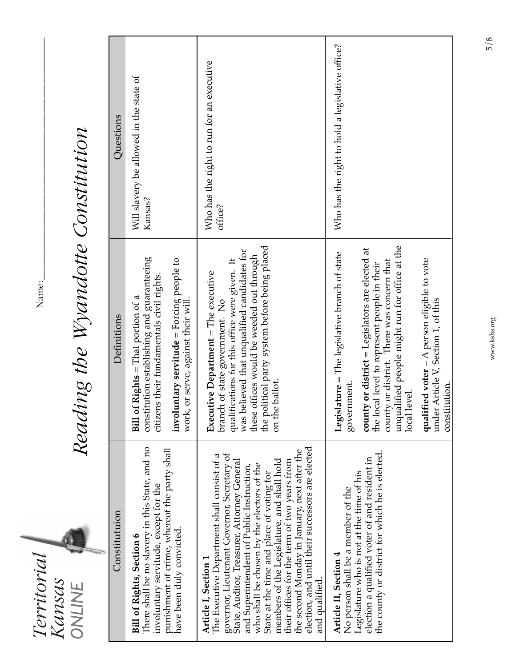| erritoria |       |  |
|-----------|-------|--|
|           | ansas |  |
|           |       |  |

Name: Name:\_

# Reading the Wyandotte Constitution *Reading the Wyandotte Constitution*

| Questions     | Will slavery be allowed in the state of<br>Kansas?                                                                                                                                                                       | Who has the right to run for an executive<br>office?                                                                                                                                                                                                                                                                                                                                                                                                                                                                          | Who has the right to hold a legislative office?                                                                                                                                                                                                                                                                                                                                        |
|---------------|--------------------------------------------------------------------------------------------------------------------------------------------------------------------------------------------------------------------------|-------------------------------------------------------------------------------------------------------------------------------------------------------------------------------------------------------------------------------------------------------------------------------------------------------------------------------------------------------------------------------------------------------------------------------------------------------------------------------------------------------------------------------|----------------------------------------------------------------------------------------------------------------------------------------------------------------------------------------------------------------------------------------------------------------------------------------------------------------------------------------------------------------------------------------|
| Definitions   | constitution establishing and guaranteeing<br>involuntary servitude = Forcing people to<br>citizens their fundamentals civil rights.<br><b>Bill of Rights</b> = That portion of a<br>work, or serve, against their will. | the political party system before being placed<br>was believed that unqualified candidates for<br>these offices would be weeded out through<br>qualifications for this office were given. It<br>Executive Department = The executive<br>branch of state government. No<br>on the ballot.                                                                                                                                                                                                                                      | unqualified people might run for office at the<br>county or district = Legislators are elected at<br>Legislature = The legislative branch of state<br>qualified voter = A person eligible to vote<br>county or district. There was concern that<br>the local level to represent people in their<br>under Article V, Section 1, of this<br>government.<br>constitution.<br>local level. |
| Constitutuion | There shall be no slavery in this State, and no<br>punishment of crime, whereof the party shall<br>involuntary servitude, except for the<br>have been duly convicted.<br><b>Bill of Rights, Section 6</b>                | election, and until their successors are elected<br>the second Monday in January, next after the<br>governor, Lieutenant Governor, Secretary of<br>The Executive Department shall consist of a<br>members of the Legislature, and shall hold<br>State, Auditor, Treasurer, Attorney General<br>their offices for the term of two years from<br>who shall be chosen by the electors of the<br>and Superintendent of Public Instruction,<br>State at the time and place of voting for<br>Article I, Section 1<br>and qualified. | the county or district for which he is elected.<br>election a qualified voter of and resident in<br>Legislature who is not at the time of his<br>No person shall be a member of the<br>Article II, Section 4                                                                                                                                                                           |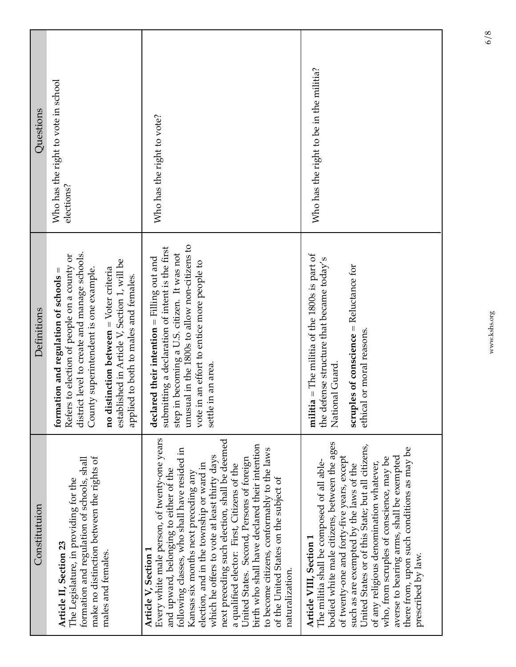| Constitutuion                                                                                                                                                                                                                                                                                                                                                                                                                                                                                                                                                                                                | Definitions                                                                                                                                                                                                                                                                                                                      | Questions                                         |
|--------------------------------------------------------------------------------------------------------------------------------------------------------------------------------------------------------------------------------------------------------------------------------------------------------------------------------------------------------------------------------------------------------------------------------------------------------------------------------------------------------------------------------------------------------------------------------------------------------------|----------------------------------------------------------------------------------------------------------------------------------------------------------------------------------------------------------------------------------------------------------------------------------------------------------------------------------|---------------------------------------------------|
| make no distinction between the rights of<br>formation and regulation of schools, shall<br>The Legislature, in providing for the<br>Article II, Section 23<br>males and females.                                                                                                                                                                                                                                                                                                                                                                                                                             | ict level to create and manage schools.<br>is to election of people on a county or<br>established in Article V, Section 1, will be<br>istinction between $=$ Voter criteria<br>County superintendent is one example.<br>applied to both to males and females.<br>formation and regulation of schools<br>Refer<br>distri<br>no di | Who has the right to vote in school<br>elections? |
| Every white male person, of twenty-one years<br>next preceding such election, shall be deemed<br>birth who shall have declared their intention<br>following classes, who shall have resided in<br>to become citizens, conformably to the laws<br>which he offers to vote at least thirty days<br>United States. Second, Persons of foreign<br>election, and in the township or ward in<br>a qualified elector: First, Citizens of the<br>and upward, belonging to either of the<br>Kansas six months next preceding any<br>of the United States on the subject of<br>Article V, Section 1<br>naturalization. | unusual in the 1800s to allow non-citizens to<br>submitting a declaration of intent is the first<br>in becoming a U.S. citizen. It was not<br>declared their intention $=$ Filling out and<br>vote in an effort to entice more people to<br>settle in an area.<br>step i                                                         | Who has the right to vote?                        |
| bodied white male citizens, between the ages<br>United States or of this State; but all citizens,<br>there from, upon such conditions as may be<br>of twenty-one and forty-five years, except<br>averse to bearing arms, shall be exempted<br>who, from scruples of conscience, may be<br>The militia shall be composed of all able-<br>of any religious denomination whatever,<br>such as are exempted by the laws of the<br>Article VIII, Section 1<br>prescribed by law.                                                                                                                                  | $militia = The$ militia of the 1800s is part of<br>the defense structure that became today's<br>scruples of conscience = Reluctance for<br>ethical or moral reasons.<br>National Guard.                                                                                                                                          | Who has the right to be in the militia?           |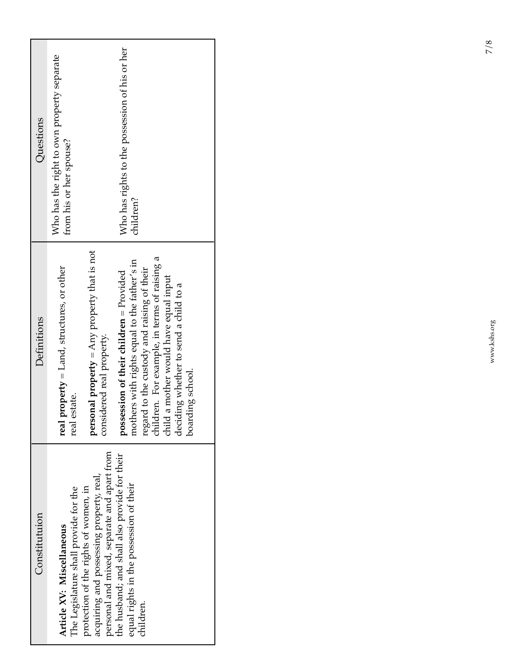| Constitutuion                                                                                                                    | Definitions                                                                                                                                                                                                                                                                                                | Questions                                                             |
|----------------------------------------------------------------------------------------------------------------------------------|------------------------------------------------------------------------------------------------------------------------------------------------------------------------------------------------------------------------------------------------------------------------------------------------------------|-----------------------------------------------------------------------|
| The Legislature shall provide for the<br>Article XV: Miscellaneous                                                               | $property = Land, structures, or other$<br>estate.<br>real<br>real <sub>t</sub>                                                                                                                                                                                                                            | Who has the right to own property separate<br>from his or her spouse? |
| personal and mixed, separate and apart from<br>acquiring and possessing property, real,<br>protection of the rights of women, in | personal property = Any property that is not<br>considered real property.                                                                                                                                                                                                                                  |                                                                       |
| the husband; and shall also provide for their<br>equal rights in the possession of their<br>children.                            | children. For example, in terms of raising a<br>mothers with rights equal to the father's in<br>regard to the custody and raising of their<br>possession of their children = $P_{\text{rovided}}$<br>a mother would have equal input<br>deciding whether to send a child to a<br>boarding school.<br>child | Who has rights to the possession of his or her<br>children?           |